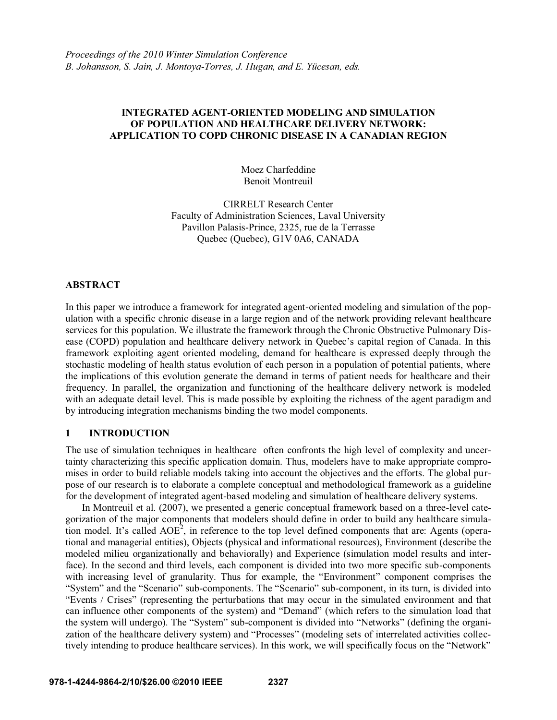## **INTEGRATED AGENT-ORIENTED MODELING AND SIMULATION OF POPULATION AND HEALTHCARE DELIVERY NETWORK: APPLICATION TO COPD CHRONIC DISEASE IN A CANADIAN REGION**

Moez Charfeddine Benoit Montreuil

CIRRELT Research Center Faculty of Administration Sciences, Laval University Pavillon Palasis-Prince, 2325, rue de la Terrasse Quebec (Quebec), G1V 0A6, CANADA

## **ABSTRACT**

In this paper we introduce a framework for integrated agent-oriented modeling and simulation of the population with a specific chronic disease in a large region and of the network providing relevant healthcare services for this population. We illustrate the framework through the Chronic Obstructive Pulmonary Disease (COPD) population and healthcare delivery network in Quebec's capital region of Canada. In this framework exploiting agent oriented modeling, demand for healthcare is expressed deeply through the stochastic modeling of health status evolution of each person in a population of potential patients, where the implications of this evolution generate the demand in terms of patient needs for healthcare and their frequency. In parallel, the organization and functioning of the healthcare delivery network is modeled with an adequate detail level. This is made possible by exploiting the richness of the agent paradigm and by introducing integration mechanisms binding the two model components.

### **1 INTRODUCTION**

The use of simulation techniques in healthcare often confronts the high level of complexity and uncertainty characterizing this specific application domain. Thus, modelers have to make appropriate compromises in order to build reliable models taking into account the objectives and the efforts. The global purpose of our research is to elaborate a complete conceptual and methodological framework as a guideline for the development of integrated agent-based modeling and simulation of healthcare delivery systems.

 In Montreuil et al. (2007), we presented a generic conceptual framework based on a three-level categorization of the major components that modelers should define in order to build any healthcare simula tion model. It's called  $AOE<sup>2</sup>$ , in reference to the top level defined components that are: Agents (operational and managerial entities), Objects (physical and informational resources), Environment (describe the modeled milieu organizationally and behaviorally) and Experience (simulation model results and interface). In the second and third levels, each component is divided into two more specific sub-components with increasing level of granularity. Thus for example, the "Environment" component comprises the "System" and the "Scenario" sub-components. The "Scenario" sub-component, in its turn, is divided into "Events / Crises" (representing the perturbations that may occur in the simulated environment and that can influence other components of the system) and "Demand" (which refers to the simulation load that the system will undergo). The "System" sub-component is divided into "Networks" (defining the organization of the healthcare delivery system) and "Processes" (modeling sets of interrelated activities collectively intending to produce healthcare services). In this work, we will specifically focus on the "Network"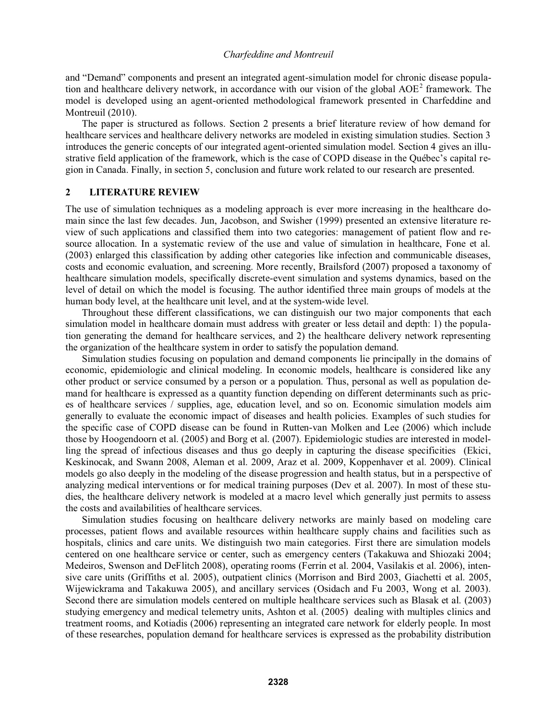and "Demand" components and present an integrated agent-simulation model for chronic disease population and healthcare delivery network, in accordance with our vision of the global  $AOE<sup>2</sup>$  framework. The model is developed using an agent-oriented methodological framework presented in Charfeddine and Montreuil (2010).

 The paper is structured as follows. Section 2 presents a brief literature review of how demand for healthcare services and healthcare delivery networks are modeled in existing simulation studies. Section 3 introduces the generic concepts of our integrated agent-oriented simulation model. Section 4 gives an illu strative field application of the framework, which is the case of COPD disease in the Québec's capital region in Canada. Finally, in section 5, conclusion and future work related to our research are presented.

#### **2 LITERATURE REVIEW**

The use of simulation techniques as a modeling approach is ever more increasing in the healthcare domain since the last few decades. Jun, Jacobson, and Swisher (1999) presented an extensive literature review of such applications and classified them into two categories: management of patient flow and resource allocation. In a systematic review of the use and value of simulation in healthcare, Fone et al. (2003) enlarged this classification by adding other categories like infection and communicable diseases, costs and economic evaluation, and screening. More recently, Brailsford (2007) proposed a taxonomy of healthcare simulation models, specifically discrete-event simulation and systems dynamics, based on the level of detail on which the model is focusing. The author identified three main groups of models at the human body level, at the healthcare unit level, and at the system-wide level.

 Throughout these different classifications, we can distinguish our two major components that each simulation model in healthcare domain must address with greater or less detail and depth: 1) the population generating the demand for healthcare services, and 2) the healthcare delivery network representing the organization of the healthcare system in order to satisfy the population demand.

 Simulation studies focusing on population and demand components lie principally in the domains of economic, epidemiologic and clinical modeling. In economic models, healthcare is considered like any other product or service consumed by a person or a population. Thus, personal as well as population demand for healthcare is expressed as a quantity function depending on different determinants such as prices of healthcare services / supplies, age, education level, and so on. Economic simulation models aim generally to evaluate the economic impact of diseases and health policies. Examples of such studies for the specific case of COPD disease can be found in Rutten-van Molken and Lee (2006) which include those by Hoogendoorn et al. (2005) and Borg et al. (2007). Epidemiologic studies are interested in modelling the spread of infectious diseases and thus go deeply in capturing the disease specificities (Ekici, Keskinocak, and Swann 2008, Aleman et al. 2009, Araz et al. 2009, Koppenhaver et al. 2009). Clinical models go also deeply in the modeling of the disease progression and health status, but in a perspective of analyzing medical interventions or for medical training purposes (Dev et al. 2007). In most of these studies, the healthcare delivery network is modeled at a macro level which generally just permits to assess the costs and availabilities of healthcare services.

 Simulation studies focusing on healthcare delivery networks are mainly based on modeling care processes, patient flows and available resources within healthcare supply chains and facilities such as hospitals, clinics and care units. We distinguish two main categories. First there are simulation models centered on one healthcare service or center, such as emergency centers (Takakuwa and Shiozaki 2004; Medeiros, Swenson and DeFlitch 2008), operating rooms (Ferrin et al. 2004, Vasilakis et al. 2006), intensive care units (Griffiths et al. 2005), outpatient clinics (Morrison and Bird 2003, Giachetti et al. 2005, Wijewickrama and Takakuwa 2005), and ancillary services (Osidach and Fu 2003, Wong et al. 2003). Second there are simulation models centered on multiple healthcare services such as Blasak et al. (2003) studying emergency and medical telemetry units, Ashton et al. (2005) dealing with multiples clinics and treatment rooms, and Kotiadis (2006) representing an integrated care network for elderly people. In most of these researches, population demand for healthcare services is expressed as the probability distribution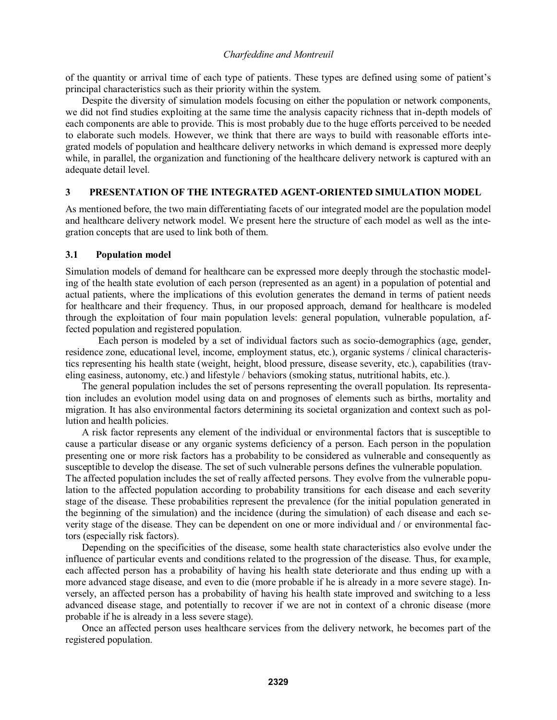of the quantity or arrival time of each type of patients. These types are defined using some of 
principal characteristics such as their priority within the system.

 Despite the diversity of simulation models focusing on either the population or network components, we did not find studies exploiting at the same time the analysis capacity richness that in-depth models of each components are able to provide. This is most probably due to the huge efforts perceived to be needed to elaborate such models. However, we think that there are ways to build with reasonable efforts integrated models of population and healthcare delivery networks in which demand is expressed more deeply while, in parallel, the organization and functioning of the healthcare delivery network is captured with an adequate detail level.

### **3 PRESENTATION OF THE INTEGRATED AGENT-ORIENTED SIMULATION MODEL**

As mentioned before, the two main differentiating facets of our integrated model are the population model and healthcare delivery network model. We present here the structure of each model as well as the integration concepts that are used to link both of them.

### **3.1 Population model**

Simulation models of demand for healthcare can be expressed more deeply through the stochastic modeling of the health state evolution of each person (represented as an agent) in a population of potential and actual patients, where the implications of this evolution generates the demand in terms of patient needs for healthcare and their frequency. Thus, in our proposed approach, demand for healthcare is modeled through the exploitation of four main population levels: general population, vulnerable population, affected population and registered population.

 Each person is modeled by a set of individual factors such as socio-demographics (age, gender, residence zone, educational level, income, employment status, etc.), organic systems / clinical characteristics representing his health state (weight, height, blood pressure, disease severity, etc.), capabilities (traveling easiness, autonomy, etc.) and lifestyle / behaviors (smoking status, nutritional habits, etc.).

 The general population includes the set of persons representing the overall population. Its representation includes an evolution model using data on and prognoses of elements such as births, mortality and migration. It has also environmental factors determining its societal organization and context such as pollution and health policies.

 A risk factor represents any element of the individual or environmental factors that is susceptible to cause a particular disease or any organic systems deficiency of a person. Each person in the population presenting one or more risk factors has a probability to be considered as vulnerable and consequently as susceptible to develop the disease. The set of such vulnerable persons defines the vulnerable population.

The affected population includes the set of really affected persons. They evolve from the vulnerable population to the affected population according to probability transitions for each disease and each severity stage of the disease. These probabilities represent the prevalence (for the initial population generated in the beginning of the simulation) and the incidence (during the simulation) of each disease and each severity stage of the disease. They can be dependent on one or more individual and / or environmental factors (especially risk factors).

 Depending on the specificities of the disease, some health state characteristics also evolve under the influence of particular events and conditions related to the progression of the disease. Thus, for example, each affected person has a probability of having his health state deteriorate and thus ending up with a more advanced stage disease, and even to die (more probable if he is already in a more severe stage). Inversely, an affected person has a probability of having his health state improved and switching to a less advanced disease stage, and potentially to recover if we are not in context of a chronic disease (more probable if he is already in a less severe stage).

 Once an affected person uses healthcare services from the delivery network, he becomes part of the registered population.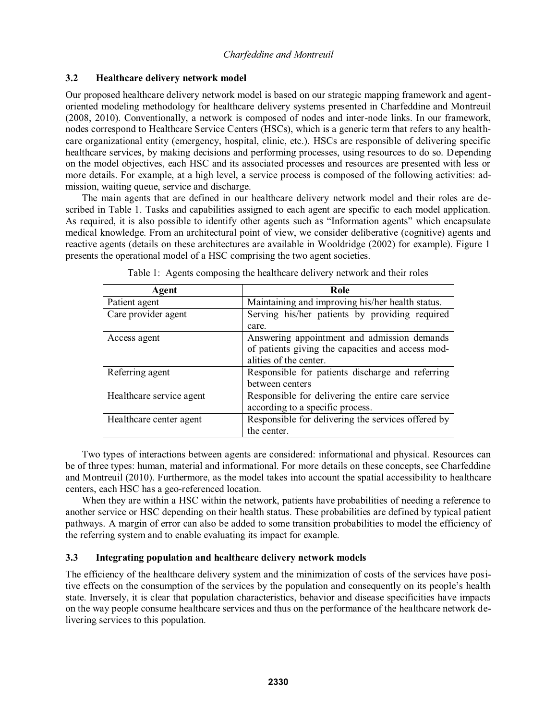## **3.2 Healthcare delivery network model**

Our proposed healthcare delivery network model is based on our strategic mapping framework and agentoriented modeling methodology for healthcare delivery systems presented in Charfeddine and Montreuil (2008, 2010). Conventionally, a network is composed of nodes and inter-node links. In our framework, nodes correspond to Healthcare Service Centers (HSCs), which is a generic term that refers to any healthcare organizational entity (emergency, hospital, clinic, etc.). HSCs are responsible of delivering specific healthcare services, by making decisions and performing processes, using resources to do so. Depending on the model objectives, each HSC and its associated processes and resources are presented with less or more details. For example, at a high level, a service process is composed of the following activities: admission, waiting queue, service and discharge.

 The main agents that are defined in our healthcare delivery network model and their roles are described in Table 1. Tasks and capabilities assigned to each agent are specific to each model application. As required, it is also possible to identify other agents such as "Information agents" which encapsulate medical knowledge. From an architectural point of view, we consider deliberative (cognitive) agents and reactive agents (details on these architectures are available in Wooldridge (2002) for example). Figure 1 presents the operational model of a HSC comprising the two agent societies.

| Agent                    | Role                                               |
|--------------------------|----------------------------------------------------|
| Patient agent            | Maintaining and improving his/her health status.   |
| Care provider agent      | Serving his/her patients by providing required     |
|                          | care.                                              |
| Access agent             | Answering appointment and admission demands        |
|                          | of patients giving the capacities and access mod-  |
|                          | alities of the center.                             |
| Referring agent          | Responsible for patients discharge and referring   |
|                          | between centers                                    |
| Healthcare service agent | Responsible for delivering the entire care service |
|                          | according to a specific process.                   |
| Healthcare center agent  | Responsible for delivering the services offered by |
|                          | the center.                                        |

|  |  | Table 1: Agents composing the healthcare delivery network and their roles |
|--|--|---------------------------------------------------------------------------|
|  |  |                                                                           |

 Two types of interactions between agents are considered: informational and physical. Resources can be of three types: human, material and informational. For more details on these concepts, see Charfeddine and Montreuil (2010). Furthermore, as the model takes into account the spatial accessibility to healthcare centers, each HSC has a geo-referenced location.

When they are within a HSC within the network, patients have probabilities of needing a reference to another service or HSC depending on their health status. These probabilities are defined by typical patient pathways. A margin of error can also be added to some transition probabilities to model the efficiency of the referring system and to enable evaluating its impact for example.

## **3.3 Integrating population and healthcare delivery network models**

The efficiency of the healthcare delivery system and the minimization of costs of the services have posi tive effects on the consumption of the services by the population and consequently on its people's health state. Inversely, it is clear that population characteristics, behavior and disease specificities have impacts on the way people consume healthcare services and thus on the performance of the healthcare network delivering services to this population.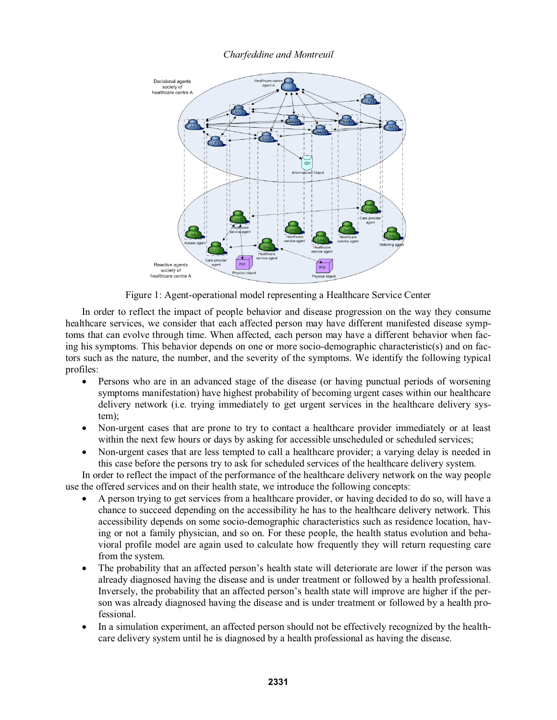

Figure 1: Agent-operational model representing a Healthcare Service Center

 In order to reflect the impact of people behavior and disease progression on the way they consume healthcare services, we consider that each affected person may have different manifested disease symptoms that can evolve through time. When affected, each person may have a different behavior when facing his symptoms. This behavior depends on one or more socio-demographic characteristic(s) and on factors such as the nature, the number, and the severity of the symptoms. We identify the following typical profiles:

- $\bullet$  Persons who are in an advanced stage of the disease (or having punctual periods of worsening symptoms manifestation) have highest probability of becoming urgent cases within our healthcare delivery network (i.e. trying immediately to get urgent services in the healthcare delivery system);
- $\bullet$  Non-urgent cases that are prone to try to contact a healthcare provider immediately or at least within the next few hours or days by asking for accessible unscheduled or scheduled services;
- $\bullet$  Non-urgent cases that are less tempted to call a healthcare provider; a varying delay is needed in this case before the persons try to ask for scheduled services of the healthcare delivery system.

 In order to reflect the impact of the performance of the healthcare delivery network on the way people use the offered services and on their health state, we introduce the following concepts:

- - A person trying to get services from a healthcare provider, or having decided to do so, will have a chance to succeed depending on the accessibility he has to the healthcare delivery network. This accessibility depends on some socio-demographic characteristics such as residence location, having or not a family physician, and so on. For these people, the health status evolution and behavioral profile model are again used to calculate how frequently they will return requesting care from the system.
- $\bullet$ The probability that an affected person's health state will deteriorate are lower if the person was already diagnosed having the disease and is under treatment or followed by a health professional. Inversely, the probability that an affected person's health state will improve are higher if the person was already diagnosed having the disease and is under treatment or followed by a health professional.
- - In a simulation experiment, an affected person should not be effectively recognized by the healthcare delivery system until he is diagnosed by a health professional as having the disease.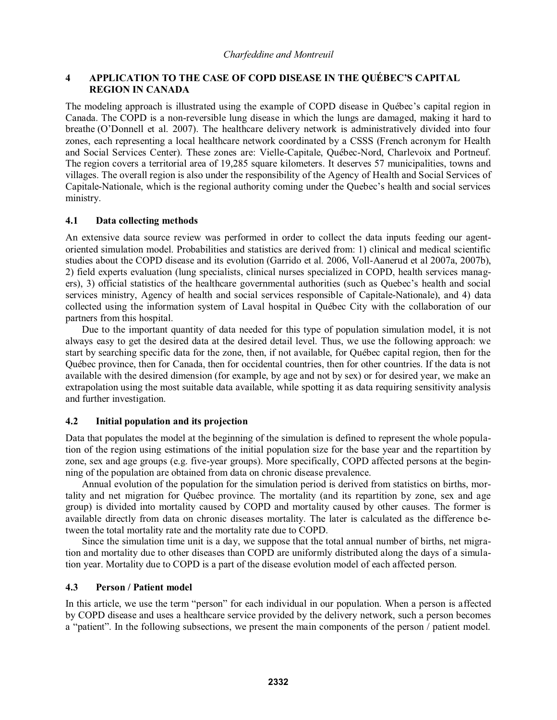# 4 APPLICATION TO THE CASE OF COPD DISEASE IN THE QUÉBEC'S CAPITAL **REGION IN CANADA**

The modeling approach is illustrated using the example of COPD disease in Québec's capital region in Canada. The COPD is a non-reversible lung disease in which the lungs are damaged, making it hard to breathe (O'Donnell et al. 2007). The healthcare delivery network is administratively divided into four zones, each representing a local healthcare network coordinated by a CSSS (French acronym for Health and Social Services Center). These zones are: Vielle-Capitale, Québec-Nord, Charlevoix and Portneuf. The region covers a territorial area of 19,285 square kilometers. It deserves 57 municipalities, towns and villages. The overall region is also under the responsibility of the Agency of Health and Social Services of Capitale-Nationale, which is the regional authority coming under the Quebec's health and social services ministry.

### **4.1 Data collecting methods**

An extensive data source review was performed in order to collect the data inputs feeding our agentoriented simulation model. Probabilities and statistics are derived from: 1) clinical and medical scientific studies about the COPD disease and its evolution (Garrido et al. 2006, Voll-Aanerud et al 2007a, 2007b), 2) field experts evaluation (lung specialists, clinical nurses specialized in COPD, health services manag ers), 3) official statistics of the healthcare governmental authorities (such as Quebec's health and social services ministry, Agency of health and social services responsible of Capitale-Nationale), and 4) data collected using the information system of Laval hospital in Québec City with the collaboration of our partners from this hospital.

 Due to the important quantity of data needed for this type of population simulation model, it is not always easy to get the desired data at the desired detail level. Thus, we use the following approach: we start by searching specific data for the zone, then, if not available, for Québec capital region, then for the Québec province, then for Canada, then for occidental countries, then for other countries. If the data is not available with the desired dimension (for example, by age and not by sex) or for desired year, we make an extrapolation using the most suitable data available, while spotting it as data requiring sensitivity analysis and further investigation.

## **4.2 Initial population and its projection**

Data that populates the model at the beginning of the simulation is defined to represent the whole population of the region using estimations of the initial population size for the base year and the repartition by zone, sex and age groups (e.g. five-year groups). More specifically, COPD affected persons at the beginning of the population are obtained from data on chronic disease prevalence.

 Annual evolution of the population for the simulation period is derived from statistics on births, mortality and net migration for Québec province. The mortality (and its repartition by zone, sex and age group) is divided into mortality caused by COPD and mortality caused by other causes. The former is available directly from data on chronic diseases mortality. The later is calculated as the difference between the total mortality rate and the mortality rate due to COPD.

 Since the simulation time unit is a day, we suppose that the total annual number of births, net migration and mortality due to other diseases than COPD are uniformly distributed along the days of a simulation year. Mortality due to COPD is a part of the disease evolution model of each affected person.

## **4.3 Person / Patient model**

In this article, we use the term "person" for each individual in our population. When a person is affected by COPD disease and uses a healthcare service provided by the delivery network, such a person becomes a "patient". In the following subsections, we present the main components of the person / patient model.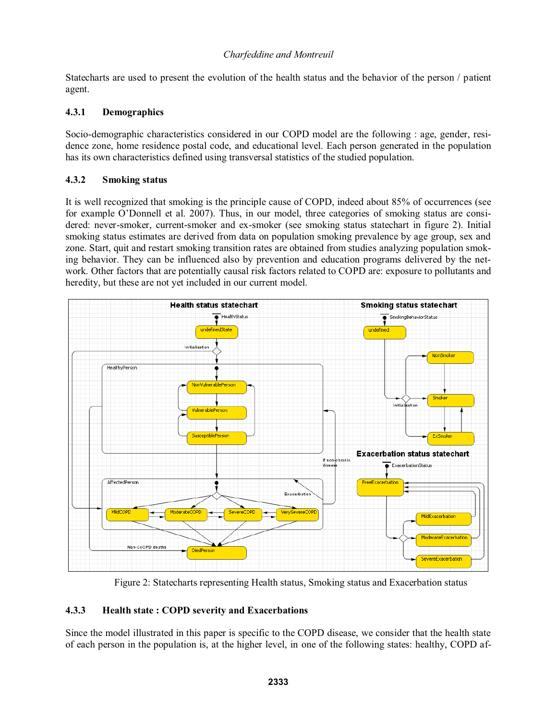Statecharts are used to present the evolution of the health status and the behavior of the person / patient agent.

## **4.3.1 Demographics**

Socio-demographic characteristics considered in our COPD model are the following : age, gender, residence zone, home residence postal code, and educational level. Each person generated in the population has its own characteristics defined using transversal statistics of the studied population.

## **4.3.2 Smoking status**

It is well recognized that smoking is the principle cause of COPD, indeed about 85% of occurrences (see for example O'Donnell et al. 2007). Thus, in our model, three categories of smoking status are considered: never-smoker, current-smoker and ex-smoker (see smoking status statechart in figure 2). Initial smoking status estimates are derived from data on population smoking prevalence by age group, sex and zone. Start, quit and restart smoking transition rates are obtained from studies analyzing population smoking behavior. They can be influenced also by prevention and education programs delivered by the network. Other factors that are potentially causal risk factors related to COPD are: exposure to pollutants and heredity, but these are not yet included in our current model.



Figure 2: Statecharts representing Health status, Smoking status and Exacerbation status

# **4.3.3 Health state : COPD severity and Exacerbations**

Since the model illustrated in this paper is specific to the COPD disease, we consider that the health state of each person in the population is, at the higher level, in one of the following states: healthy, COPD af-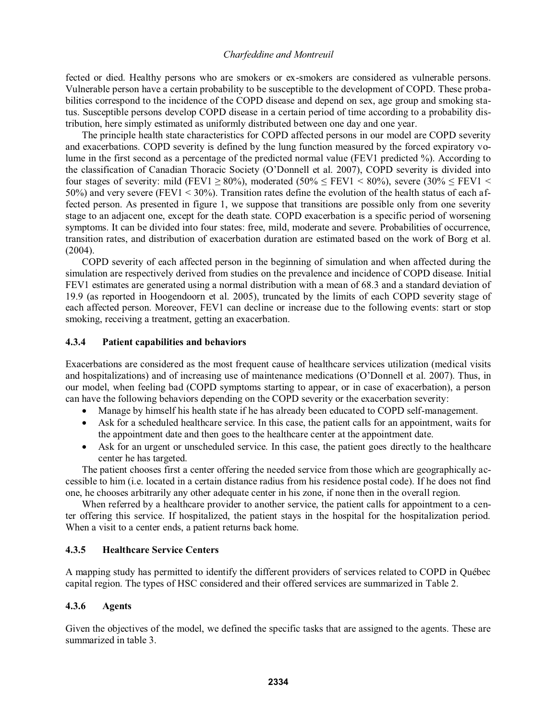fected or died. Healthy persons who are smokers or ex-smokers are considered as vulnerable persons. Vulnerable person have a certain probability to be susceptible to the development of COPD. These probabilities correspond to the incidence of the COPD disease and depend on sex, age group and smoking status. Susceptible persons develop COPD disease in a certain period of time according to a probability distribution, here simply estimated as uniformly distributed between one day and one year.

 The principle health state characteristics for COPD affected persons in our model are COPD severity and exacerbations. COPD severity is defined by the lung function measured by the forced expiratory volume in the first second as a percentage of the predicted normal value (FEV1 predicted %). According to the classification of Canadian Thoracic Society (O'Donnell et al. 2007), COPD severity is divided into four stages of severity: mild (FEV1  $\geq$  80%), moderated (50%  $\leq$  FEV1  $\leq$  80%), severe (30%  $\leq$  FEV1  $\leq$ 50%) and very severe (FEV1 < 30%). Transition rates define the evolution of the health status of each affected person. As presented in figure 1, we suppose that transitions are possible only from one severity stage to an adjacent one, except for the death state. COPD exacerbation is a specific period of worsening symptoms. It can be divided into four states: free, mild, moderate and severe. Probabilities of occurrence, transition rates, and distribution of exacerbation duration are estimated based on the work of Borg et al. (2004).

 COPD severity of each affected person in the beginning of simulation and when affected during the simulation are respectively derived from studies on the prevalence and incidence of COPD disease. Initial FEV1 estimates are generated using a normal distribution with a mean of 68.3 and a standard deviation of 19.9 (as reported in Hoogendoorn et al. 2005), truncated by the limits of each COPD severity stage of each affected person. Moreover, FEV1 can decline or increase due to the following events: start or stop smoking, receiving a treatment, getting an exacerbation.

### **4.3.4 Patient capabilities and behaviors**

Exacerbations are considered as the most frequent cause of healthcare services utilization (medical visits and hospitalizations) and of increasing use of maintenance medications (O'Donnell et al. 2007). Thus, in our model, when feeling bad (COPD symptoms starting to appear, or in case of exacerbation), a person can have the following behaviors depending on the COPD severity or the exacerbation severity:

- -Manage by himself his health state if he has already been educated to COPD self-management.
- $\bullet$  Ask for a scheduled healthcare service. In this case, the patient calls for an appointment, waits for the appointment date and then goes to the healthcare center at the appointment date.
- Ask for an urgent or unscheduled service. In this case, the patient goes directly to the healthcare center he has targeted.

 The patient chooses first a center offering the needed service from those which are geographically accessible to him (i.e. located in a certain distance radius from his residence postal code). If he does not find one, he chooses arbitrarily any other adequate center in his zone, if none then in the overall region.

When referred by a healthcare provider to another service, the patient calls for appointment to a center offering this service. If hospitalized, the patient stays in the hospital for the hospitalization period. When a visit to a center ends, a patient returns back home.

## **4.3.5 Healthcare Service Centers**

A mapping study has permitted to identify the different providers of services related to COPD in Québec capital region. The types of HSC considered and their offered services are summarized in Table 2.

## **4.3.6 Agents**

Given the objectives of the model, we defined the specific tasks that are assigned to the agents. These are summarized in table 3.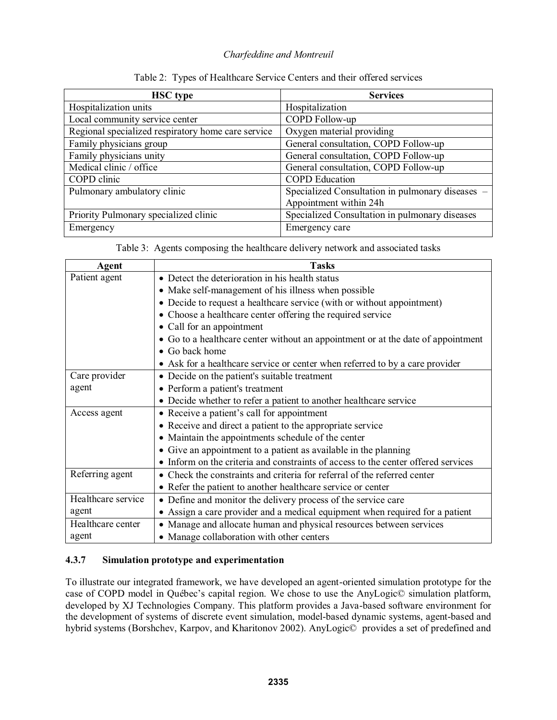| <b>HSC</b> type                                    | <b>Services</b>                                  |
|----------------------------------------------------|--------------------------------------------------|
| Hospitalization units                              | Hospitalization                                  |
| Local community service center                     | COPD Follow-up                                   |
| Regional specialized respiratory home care service | Oxygen material providing                        |
| Family physicians group                            | General consultation, COPD Follow-up             |
| Family physicians unity                            | General consultation, COPD Follow-up             |
| Medical clinic / office                            | General consultation, COPD Follow-up             |
| COPD clinic                                        | <b>COPD</b> Education                            |
| Pulmonary ambulatory clinic                        | Specialized Consultation in pulmonary diseases – |
|                                                    | Appointment within 24h                           |
| Priority Pulmonary specialized clinic              | Specialized Consultation in pulmonary diseases   |
| Emergency                                          | Emergency care                                   |

## Table 2: Types of Healthcare Service Centers and their offered services

Table 3: Agents composing the healthcare delivery network and associated tasks

| <b>Agent</b>       | <b>Tasks</b>                                                                      |  |  |
|--------------------|-----------------------------------------------------------------------------------|--|--|
| Patient agent      | • Detect the deterioration in his health status                                   |  |  |
|                    | • Make self-management of his illness when possible                               |  |  |
|                    | • Decide to request a healthcare service (with or without appointment)            |  |  |
|                    | • Choose a healthcare center offering the required service                        |  |  |
|                    | • Call for an appointment                                                         |  |  |
|                    | • Go to a healthcare center without an appointment or at the date of appointment  |  |  |
|                    | • Go back home                                                                    |  |  |
|                    | • Ask for a healthcare service or center when referred to by a care provider      |  |  |
| Care provider      | • Decide on the patient's suitable treatment                                      |  |  |
| agent              | • Perform a patient's treatment                                                   |  |  |
|                    | • Decide whether to refer a patient to another healthcare service                 |  |  |
| Access agent       | • Receive a patient's call for appointment                                        |  |  |
|                    | • Receive and direct a patient to the appropriate service                         |  |  |
|                    | • Maintain the appointments schedule of the center                                |  |  |
|                    | • Give an appointment to a patient as available in the planning                   |  |  |
|                    | • Inform on the criteria and constraints of access to the center offered services |  |  |
| Referring agent    | • Check the constraints and criteria for referral of the referred center          |  |  |
|                    | • Refer the patient to another healthcare service or center                       |  |  |
| Healthcare service | • Define and monitor the delivery process of the service care                     |  |  |
| agent              | • Assign a care provider and a medical equipment when required for a patient      |  |  |
| Healthcare center  | • Manage and allocate human and physical resources between services               |  |  |
| agent              | • Manage collaboration with other centers                                         |  |  |

# **4.3.7 Simulation prototype and experimentation**

To illustrate our integrated framework, we have developed an agent-oriented simulation prototype for the case of COPD model in Québec's capital region. We chose to use the AnyLogic© simulation platform, developed by XJ Technologies Company. This platform provides a Java-based software environment for the development of systems of discrete event simulation, model-based dynamic systems, agent-based and hybrid systems (Borshchev, Karpov, and Kharitonov 2002). AnyLogic© provides a set of predefined and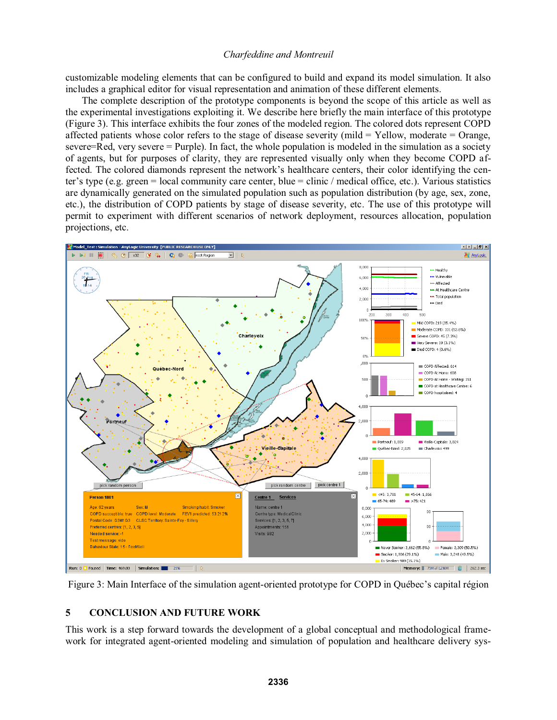customizable modeling elements that can be configured to build and expand its model simulation. It also includes a graphical editor for visual representation and animation of these different elements.

 The complete description of the prototype components is beyond the scope of this article as well as the experimental investigations exploiting it. We describe here briefly the main interface of this prototype (Figure 3). This interface exhibits the four zones of the modeled region. The colored dots represent COPD affected patients whose color refers to the stage of disease severity (mild = Yellow, moderate = Orange, severe=Red, very severe = Purple). In fact, the whole population is modeled in the simulation as a society of agents, but for purposes of clarity, they are represented visually only when they become COPD af fected. The colored diamonds represent the network's healthcare centers, their color identifying the center's type (e.g. green = local community care center, blue = clinic / medical office, etc.). Various statistics are dynamically generated on the simulated population such as population distribution (by age, sex, zone, etc.), the distribution of COPD patients by stage of disease severity, etc. The use of this prototype will permit to experiment with different scenarios of network deployment, resources allocation, population projections, etc.



Figure 3: Main Interface of the simulation agent-oriented prototype for COPD in Québec's capital région

# **5 CONCLUSION AND FUTURE WORK**

This work is a step forward towards the development of a global conceptual and methodological framework for integrated agent-oriented modeling and simulation of population and healthcare delivery sys-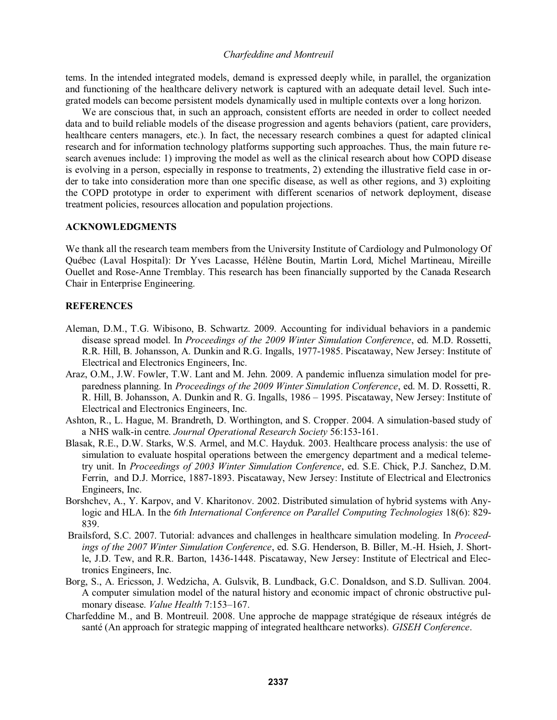tems. In the intended integrated models, demand is expressed deeply while, in parallel, the organization and functioning of the healthcare delivery network is captured with an adequate detail level. Such integrated models can become persistent models dynamically used in multiple contexts over a long horizon.

 We are conscious that, in such an approach, consistent efforts are needed in order to collect needed data and to build reliable models of the disease progression and agents behaviors (patient, care providers, healthcare centers managers, etc.). In fact, the necessary research combines a quest for adapted clinical research and for information technology platforms supporting such approaches. Thus, the main future research avenues include: 1) improving the model as well as the clinical research about how COPD disease is evolving in a person, especially in response to treatments, 2) extending the illustrative field case in order to take into consideration more than one specific disease, as well as other regions, and 3) exploiting the COPD prototype in order to experiment with different scenarios of network deployment, disease treatment policies, resources allocation and population projections.

### **ACKNOWLEDGMENTS**

We thank all the research team members from the University Institute of Cardiology and Pulmonology Of Québec (Laval Hospital): Dr Yves Lacasse, Hélène Boutin, Martin Lord, Michel Martineau, Mireille Ouellet and Rose-Anne Tremblay. This research has been financially supported by the Canada Research Chair in Enterprise Engineering.

#### **REFERENCES**

- Aleman, D.M., T.G. Wibisono, B. Schwartz. 2009. Accounting for individual behaviors in a pandemic disease spread model. In *Proceedings of the 2009 Winter Simulation Conference*, ed. M.D. Rossetti, R.R. Hill, B. Johansson, A. Dunkin and R.G. Ingalls, 1977-1985. Piscataway, New Jersey: Institute of Electrical and Electronics Engineers, Inc.
- Araz, O.M., J.W. Fowler, T.W. Lant and M. Jehn. 2009. A pandemic influenza simulation model for preparedness planning. In *Proceedings of the 2009 Winter Simulation Conference*, ed. M. D. Rossetti, R. R. Hill, B. Johansson, A. Dunkin and R. G. Ingalls, 1986 – 1995. Piscataway, New Jersey: Institute of Electrical and Electronics Engineers, Inc.
- Ashton, R., L. Hague, M. Brandreth, D. Worthington, and S. Cropper. 2004. A simulation-based study of a NHS walk-in centre. *Journal Operational Research Society* 56:153-161.
- Blasak, R.E., D.W. Starks, W.S. Armel, and M.C. Hayduk. 2003. Healthcare process analysis: the use of simulation to evaluate hospital operations between the emergency department and a medical telemetry unit. In *Proceedings of 2003 Winter Simulation Conference*, ed. S.E. Chick, P.J. Sanchez, D.M. Ferrin, and D.J. Morrice, 1887-1893. Piscataway, New Jersey: Institute of Electrical and Electronics Engineers, Inc.
- Borshchev, A., Y. Karpov, and V. Kharitonov. 2002. Distributed simulation of hybrid systems with Anylogic and HLA. In the *6th International Conference on Parallel Computing Technologies* 18(6): 829- 839.
- Brailsford, S.C. 2007. Tutorial: advances and challenges in healthcare simulation modeling. In *Proceedings of the 2007 Winter Simulation Conference*, ed. S.G. Henderson, B. Biller, M.-H. Hsieh, J. Shortle, J.D. Tew, and R.R. Barton, 1436-1448. Piscataway, New Jersey: Institute of Electrical and Electronics Engineers, Inc.
- Borg, S., A. Ericsson, J. Wedzicha, A. Gulsvik, B. Lundback, G.C. Donaldson, and S.D. Sullivan. 2004. A computer simulation model of the natural history and economic impact of chronic obstructive pulmonary disease. *Value Health* 7:153-167.
- Charfeddine M., and B. Montreuil. 2008. Une approche de mappage stratégique de réseaux intégrés de santé (An approach for strategic mapping of integrated healthcare networks). *GISEH Conference*.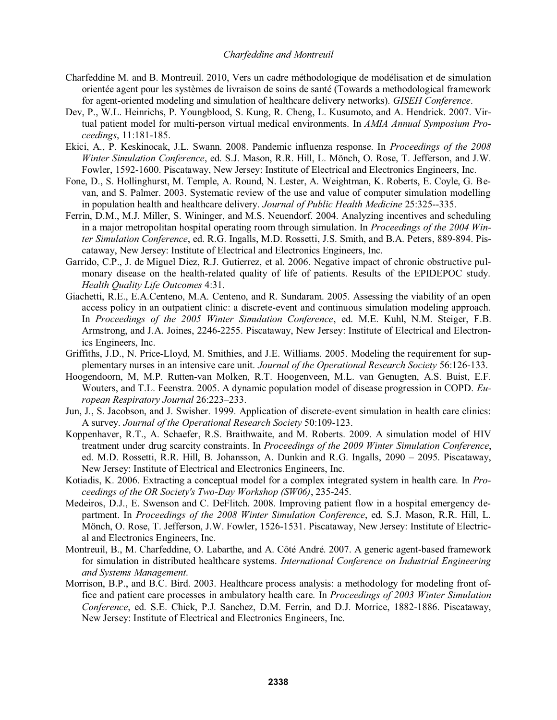- Charfeddine M. and B. Montreuil. 2010, Vers un cadre méthodologique de modélisation et de simulation orientée agent pour les systèmes de livraison de soins de santé (Towards a methodological framework for agent-oriented modeling and simulation of healthcare delivery networks). *GISEH Conference*.
- Dev, P., W.L. Heinrichs, P. Youngblood, S. Kung, R. Cheng, L. Kusumoto, and A. Hendrick. 2007. Virtual patient model for multi-person virtual medical environments. In *AMIA Annual Symposium Proceedings*, 11:181-185.
- Ekici, A., P. Keskinocak, J.L. Swann. 2008. Pandemic influenza response. In *Proceedings of the 2008 Winter Simulation Conference*, ed. S.J. Mason, R.R. Hill, L. Mönch, O. Rose, T. Jefferson, and J.W. Fowler, 1592-1600. Piscataway, New Jersey: Institute of Electrical and Electronics Engineers, Inc.
- Fone, D., S. Hollinghurst, M. Temple, A. Round, N. Lester, A. Weightman, K. Roberts, E. Coyle, G. Bevan, and S. Palmer. 2003. Systematic review of the use and value of computer simulation modelling in population health and healthcare delivery. *Journal of Public Health Medicine* 25:325--335.
- Ferrin, D.M., M.J. Miller, S. Wininger, and M.S. Neuendorf. 2004. Analyzing incentives and scheduling in a major metropolitan hospital operating room through simulation. In *Proceedings of the 2004 Winter Simulation Conference*, ed. R.G. Ingalls, M.D. Rossetti, J.S. Smith, and B.A. Peters, 889-894. Piscataway, New Jersey: Institute of Electrical and Electronics Engineers, Inc.
- Garrido, C.P., J. de Miguel Diez, R.J. Gutierrez, et al. 2006. Negative impact of chronic obstructive pulmonary disease on the health-related quality of life of patients. Results of the EPIDEPOC study. *Health Quality Life Outcomes* 4:31.
- Giachetti, R.E., E.A.Centeno, M.A. Centeno, and R. Sundaram. 2005. Assessing the viability of an open access policy in an outpatient clinic: a discrete-event and continuous simulation modeling approach. In *Proceedings of the 2005 Winter Simulation Conference*, ed. M.E. Kuhl, N.M. Steiger, F.B. Armstrong, and J.A. Joines, 2246-2255. Piscataway, New Jersey: Institute of Electrical and Electronics Engineers, Inc.
- Griffiths, J.D., N. Price-Lloyd, M. Smithies, and J.E. Williams. 2005. Modeling the requirement for supplementary nurses in an intensive care unit. *Journal of the Operational Research Society* 56:126-133.
- Hoogendoorn, M, M.P. Rutten-van Molken, R.T. Hoogenveen, M.L. van Genugten, A.S. Buist, E.F. Wouters, and T.L. Feenstra. 2005. A dynamic population model of disease progression in COPD. *European Respiratory Journal* 26:223-233.
- Jun, J., S. Jacobson, and J. Swisher. 1999. Application of discrete-event simulation in health care clinics: A survey. *Journal of the Operational Research Society* 50:109-123.
- Koppenhaver, R.T., A. Schaefer, R.S. Braithwaite, and M. Roberts. 2009. A simulation model of HIV treatment under drug scarcity constraints. In *Proceedings of the 2009 Winter Simulation Conference*, ed. M.D. Rossetti, R.R. Hill, B. Johansson, A. Dunkin and R.G. Ingalls, 2090 – 2095. Piscataway, New Jersey: Institute of Electrical and Electronics Engineers, Inc.
- Kotiadis, K. 2006. Extracting a conceptual model for a complex integrated system in health care. In *Proceedings of the OR Society's Two-Day Workshop (SW06)*, 235-245.
- Medeiros, D.J., E. Swenson and C. DeFlitch. 2008. Improving patient flow in a hospital emergency department. In *Proceedings of the 2008 Winter Simulation Conference*, ed. S.J. Mason, R.R. Hill, L. Mönch, O. Rose, T. Jefferson, J.W. Fowler, 1526-1531. Piscataway, New Jersey: Institute of Electrical and Electronics Engineers, Inc.
- Montreuil, B., M. Charfeddine, O. Labarthe, and A. Côté André. 2007. A generic agent-based framework for simulation in distributed healthcare systems. *International Conference on Industrial Engineering and Systems Management*.
- Morrison, B.P., and B.C. Bird. 2003. Healthcare process analysis: a methodology for modeling front office and patient care processes in ambulatory health care. In *Proceedings of 2003 Winter Simulation Conference*, ed. S.E. Chick, P.J. Sanchez, D.M. Ferrin, and D.J. Morrice, 1882-1886. Piscataway, New Jersey: Institute of Electrical and Electronics Engineers, Inc.